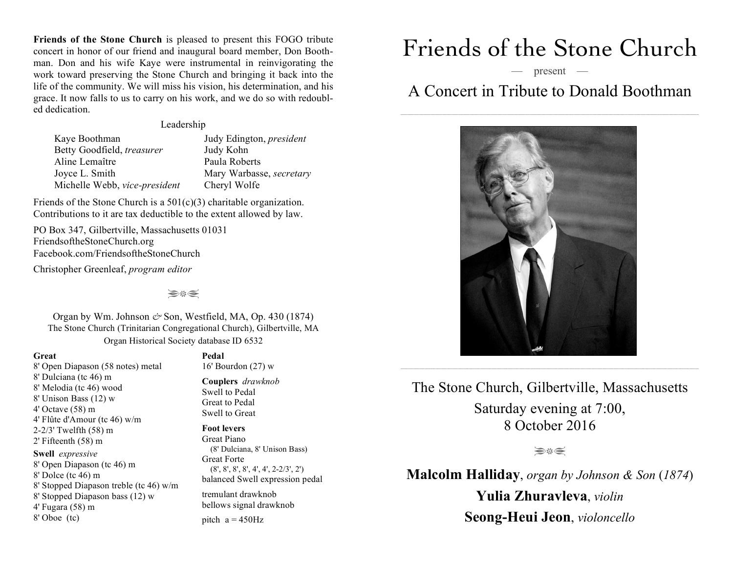**Friends of the Stone Church** is pleased to present this FOGO tribute concert in honor of our friend and inaugural board member, Don Boothman. Don and his wife Kaye were instrumental in reinvigorating the work toward preserving the Stone Church and bringing it back into the life of the community. We will miss his vision, his determination, and his grace. It now falls to us to carry on his work, and we do so with redoubled dedication.

### Leadership

| Judy Edington, <i>president</i> |
|---------------------------------|
| Judy Kohn                       |
| Paula Roberts                   |
| Mary Warbasse, secretary        |
| Cheryl Wolfe                    |
|                                 |

Friends of the Stone Church is a  $501(c)(3)$  charitable organization. Contributions to it are tax deductible to the extent allowed by law.

PO Box 347, Gilbertville, Massachusetts 01031 FriendsoftheStoneChurch.org Facebook.com/FriendsoftheStoneChurch

Christopher Greenleaf, *program editor*

**≥**#∈

Organ by Wm. Johnson  $\dot{\mathcal{O}}$  Son, Westfield, MA, Op. 430 (1874) The Stone Church (Trinitarian Congregational Church), Gilbertville, MA Organ Historical Society database ID 6532

#### **Great**

8' Open Diapason (58 notes) metal 8' Dulciana (tc 46) m 8' Melodia (tc 46) wood 8' Unison Bass (12) w 4' Octave (58) m 4' Flûte d'Amour (tc 46) w/m 2-2/3' Twelfth (58) m 2' Fifteenth (58) m **Swell** *expressive* 8' Open Diapason (tc 46) m 8' Dolce (tc 46) m 8' Stopped Diapason treble (tc 46) w/m 8' Stopped Diapason bass (12) w 4' Fugara (58) m 8' Oboe (tc)

### **Pedal**

16' Bourdon (27) w

**Couplers** *drawknob* Swell to Pedal Great to Pedal Swell to Great

## **Foot levers**

Great Piano (8' Dulciana, 8' Unison Bass) Great Forte (8', 8', 8', 8', 4', 4', 2-2/3', 2') balanced Swell expression pedal

tremulant drawknob bellows signal drawknob

pitch  $a = 450$ Hz

# Friends of the Stone Church

— present —

A Concert in Tribute to Donald Boothman



The Stone Church, Gilbertville, Massachusetts Saturday evening at 7:00, 8 October 2016

**≥**#∈

**Malcolm Halliday**, *organ by Johnson & Son* (*1874*)

**Yulia Zhuravleva**, *violin* **Seong-Heui Jeon**, *violoncello*